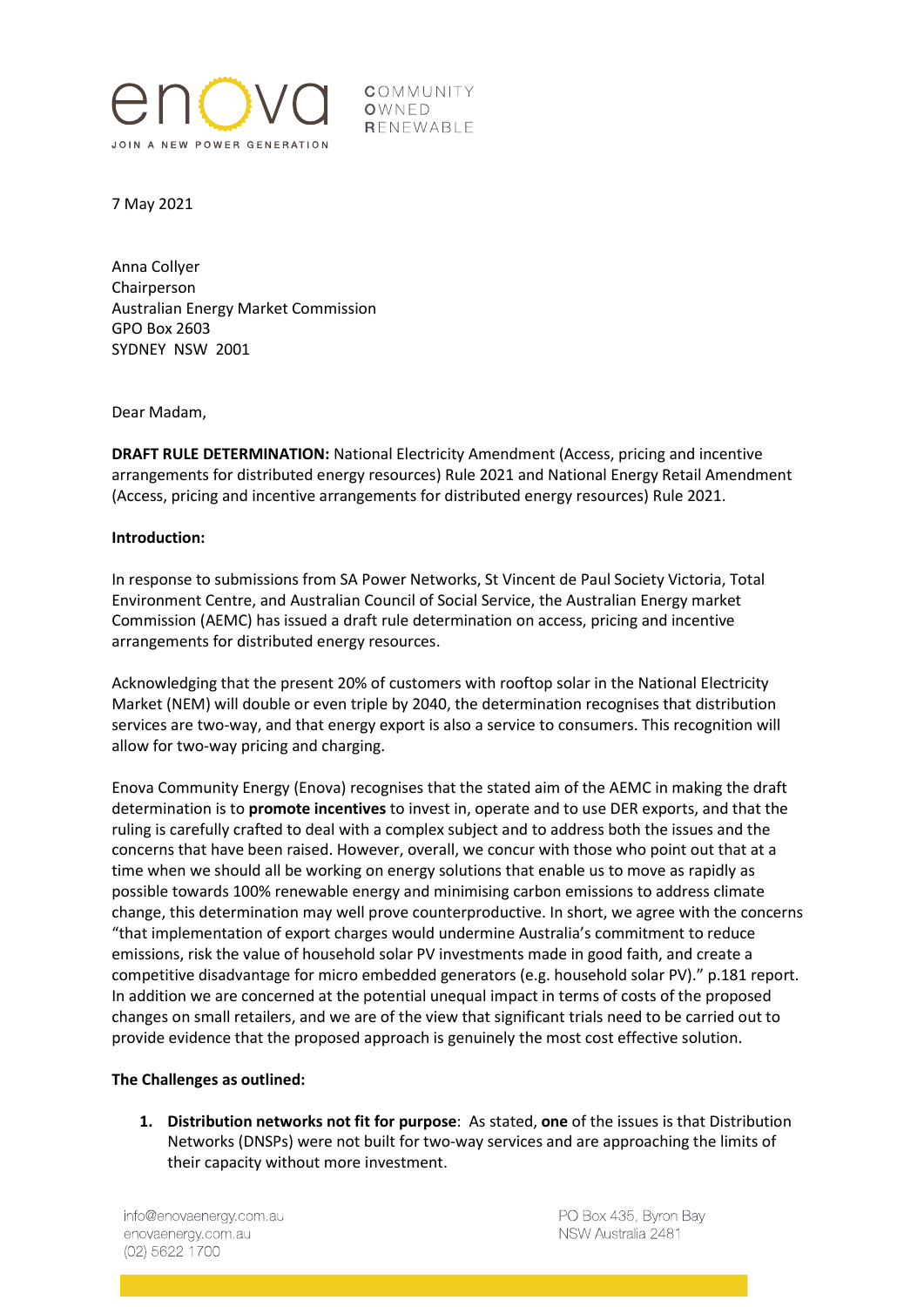

COMMUNITY OWNED **RENEWABLE** 

7 May 2021

Anna Collyer Chairperson Australian Energy Market Commission GPO Box 2603 SYDNEY NSW 2001

Dear Madam,

DRAFT RULE DETERMINATION: National Electricity Amendment (Access, pricing and incentive arrangements for distributed energy resources) Rule 2021 and National Energy Retail Amendment (Access, pricing and incentive arrangements for distributed energy resources) Rule 2021.

### Introduction:

In response to submissions from SA Power Networks, St Vincent de Paul Society Victoria, Total Environment Centre, and Australian Council of Social Service, the Australian Energy market Commission (AEMC) has issued a draft rule determination on access, pricing and incentive arrangements for distributed energy resources.

Acknowledging that the present 20% of customers with rooftop solar in the National Electricity Market (NEM) will double or even triple by 2040, the determination recognises that distribution services are two-way, and that energy export is also a service to consumers. This recognition will allow for two-way pricing and charging.

Enova Community Energy (Enova) recognises that the stated aim of the AEMC in making the draft determination is to promote incentives to invest in, operate and to use DER exports, and that the ruling is carefully crafted to deal with a complex subject and to address both the issues and the concerns that have been raised. However, overall, we concur with those who point out that at a time when we should all be working on energy solutions that enable us to move as rapidly as possible towards 100% renewable energy and minimising carbon emissions to address climate change, this determination may well prove counterproductive. In short, we agree with the concerns "that implementation of export charges would undermine Australia's commitment to reduce emissions, risk the value of household solar PV investments made in good faith, and create a competitive disadvantage for micro embedded generators (e.g. household solar PV)." p.181 report. In addition we are concerned at the potential unequal impact in terms of costs of the proposed changes on small retailers, and we are of the view that significant trials need to be carried out to provide evidence that the proposed approach is genuinely the most cost effective solution.

#### The Challenges as outlined:

1. Distribution networks not fit for purpose: As stated, one of the issues is that Distribution Networks (DNSPs) were not built for two-way services and are approaching the limits of their capacity without more investment.

info@enovaenergy.com.au enovaenergy.com.au (02) 5622 1700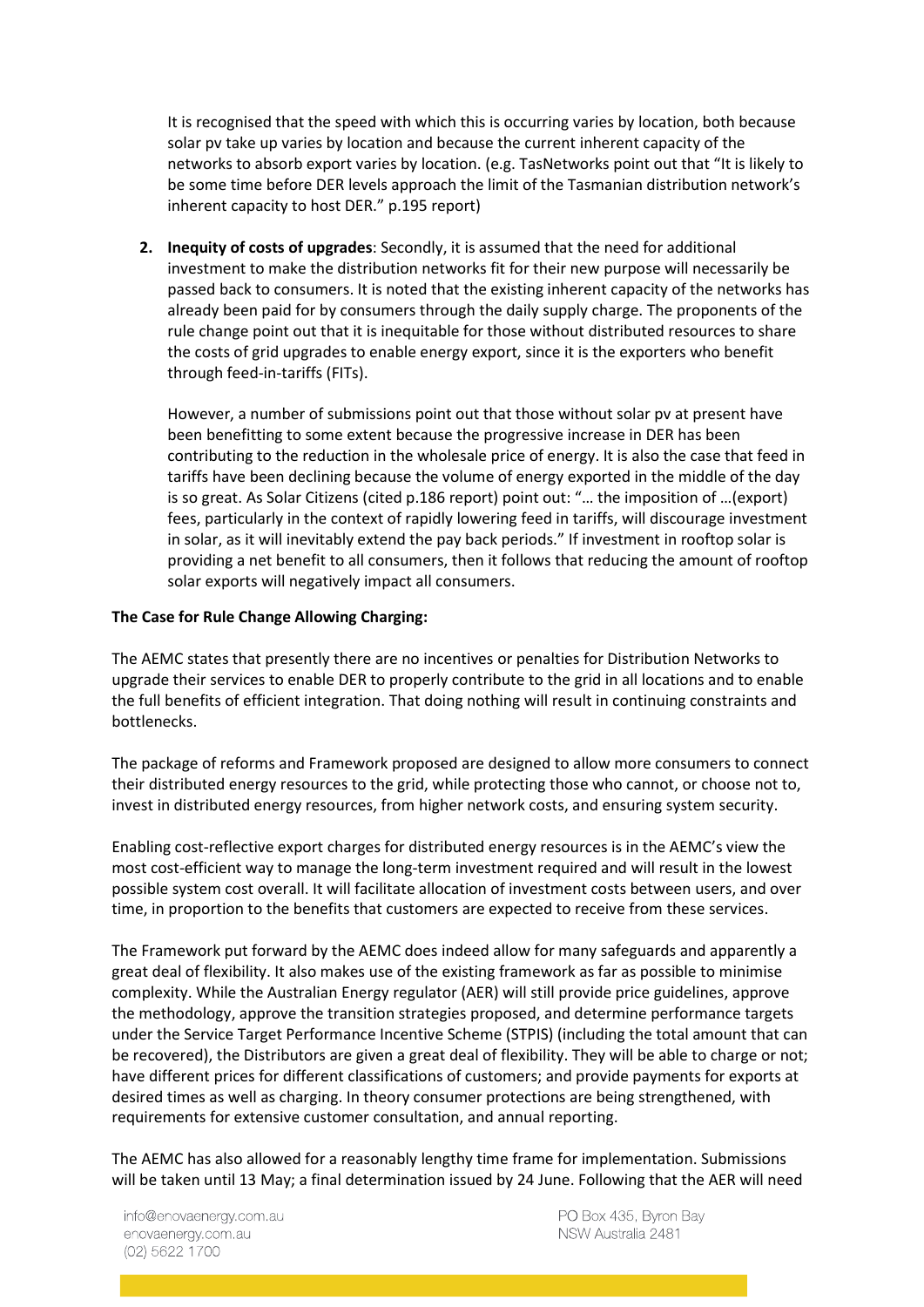It is recognised that the speed with which this is occurring varies by location, both because solar pv take up varies by location and because the current inherent capacity of the networks to absorb export varies by location. (e.g. TasNetworks point out that "It is likely to be some time before DER levels approach the limit of the Tasmanian distribution network's inherent capacity to host DER." p.195 report)

2. Inequity of costs of upgrades: Secondly, it is assumed that the need for additional investment to make the distribution networks fit for their new purpose will necessarily be passed back to consumers. It is noted that the existing inherent capacity of the networks has already been paid for by consumers through the daily supply charge. The proponents of the rule change point out that it is inequitable for those without distributed resources to share the costs of grid upgrades to enable energy export, since it is the exporters who benefit through feed-in-tariffs (FITs).

However, a number of submissions point out that those without solar pv at present have been benefitting to some extent because the progressive increase in DER has been contributing to the reduction in the wholesale price of energy. It is also the case that feed in tariffs have been declining because the volume of energy exported in the middle of the day is so great. As Solar Citizens (cited p.186 report) point out: "… the imposition of …(export) fees, particularly in the context of rapidly lowering feed in tariffs, will discourage investment in solar, as it will inevitably extend the pay back periods." If investment in rooftop solar is providing a net benefit to all consumers, then it follows that reducing the amount of rooftop solar exports will negatively impact all consumers.

# The Case for Rule Change Allowing Charging:

The AEMC states that presently there are no incentives or penalties for Distribution Networks to upgrade their services to enable DER to properly contribute to the grid in all locations and to enable the full benefits of efficient integration. That doing nothing will result in continuing constraints and bottlenecks.

The package of reforms and Framework proposed are designed to allow more consumers to connect their distributed energy resources to the grid, while protecting those who cannot, or choose not to, invest in distributed energy resources, from higher network costs, and ensuring system security.

Enabling cost-reflective export charges for distributed energy resources is in the AEMC's view the most cost-efficient way to manage the long-term investment required and will result in the lowest possible system cost overall. It will facilitate allocation of investment costs between users, and over time, in proportion to the benefits that customers are expected to receive from these services.

The Framework put forward by the AEMC does indeed allow for many safeguards and apparently a great deal of flexibility. It also makes use of the existing framework as far as possible to minimise complexity. While the Australian Energy regulator (AER) will still provide price guidelines, approve the methodology, approve the transition strategies proposed, and determine performance targets under the Service Target Performance Incentive Scheme (STPIS) (including the total amount that can be recovered), the Distributors are given a great deal of flexibility. They will be able to charge or not; have different prices for different classifications of customers; and provide payments for exports at desired times as well as charging. In theory consumer protections are being strengthened, with requirements for extensive customer consultation, and annual reporting.

The AEMC has also allowed for a reasonably lengthy time frame for implementation. Submissions will be taken until 13 May; a final determination issued by 24 June. Following that the AER will need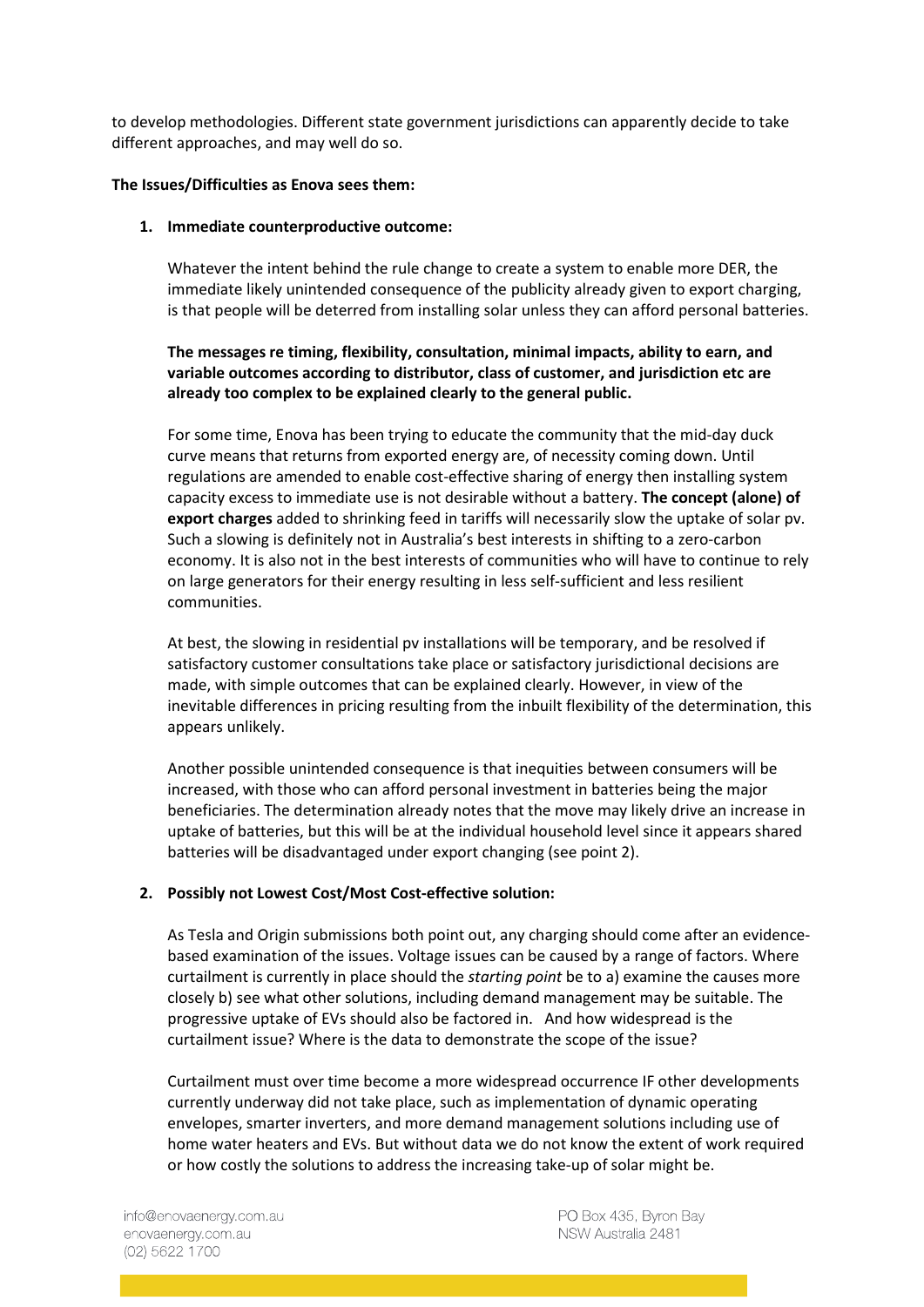to develop methodologies. Different state government jurisdictions can apparently decide to take different approaches, and may well do so.

# The Issues/Difficulties as Enova sees them:

### 1. Immediate counterproductive outcome:

Whatever the intent behind the rule change to create a system to enable more DER, the immediate likely unintended consequence of the publicity already given to export charging, is that people will be deterred from installing solar unless they can afford personal batteries.

# The messages re timing, flexibility, consultation, minimal impacts, ability to earn, and variable outcomes according to distributor, class of customer, and jurisdiction etc are already too complex to be explained clearly to the general public.

For some time, Enova has been trying to educate the community that the mid-day duck curve means that returns from exported energy are, of necessity coming down. Until regulations are amended to enable cost-effective sharing of energy then installing system capacity excess to immediate use is not desirable without a battery. The concept (alone) of export charges added to shrinking feed in tariffs will necessarily slow the uptake of solar pv. Such a slowing is definitely not in Australia's best interests in shifting to a zero-carbon economy. It is also not in the best interests of communities who will have to continue to rely on large generators for their energy resulting in less self-sufficient and less resilient communities.

At best, the slowing in residential pv installations will be temporary, and be resolved if satisfactory customer consultations take place or satisfactory jurisdictional decisions are made, with simple outcomes that can be explained clearly. However, in view of the inevitable differences in pricing resulting from the inbuilt flexibility of the determination, this appears unlikely.

Another possible unintended consequence is that inequities between consumers will be increased, with those who can afford personal investment in batteries being the major beneficiaries. The determination already notes that the move may likely drive an increase in uptake of batteries, but this will be at the individual household level since it appears shared batteries will be disadvantaged under export changing (see point 2).

# 2. Possibly not Lowest Cost/Most Cost-effective solution:

As Tesla and Origin submissions both point out, any charging should come after an evidencebased examination of the issues. Voltage issues can be caused by a range of factors. Where curtailment is currently in place should the *starting point* be to a) examine the causes more closely b) see what other solutions, including demand management may be suitable. The progressive uptake of EVs should also be factored in. And how widespread is the curtailment issue? Where is the data to demonstrate the scope of the issue?

Curtailment must over time become a more widespread occurrence IF other developments currently underway did not take place, such as implementation of dynamic operating envelopes, smarter inverters, and more demand management solutions including use of home water heaters and EVs. But without data we do not know the extent of work required or how costly the solutions to address the increasing take-up of solar might be.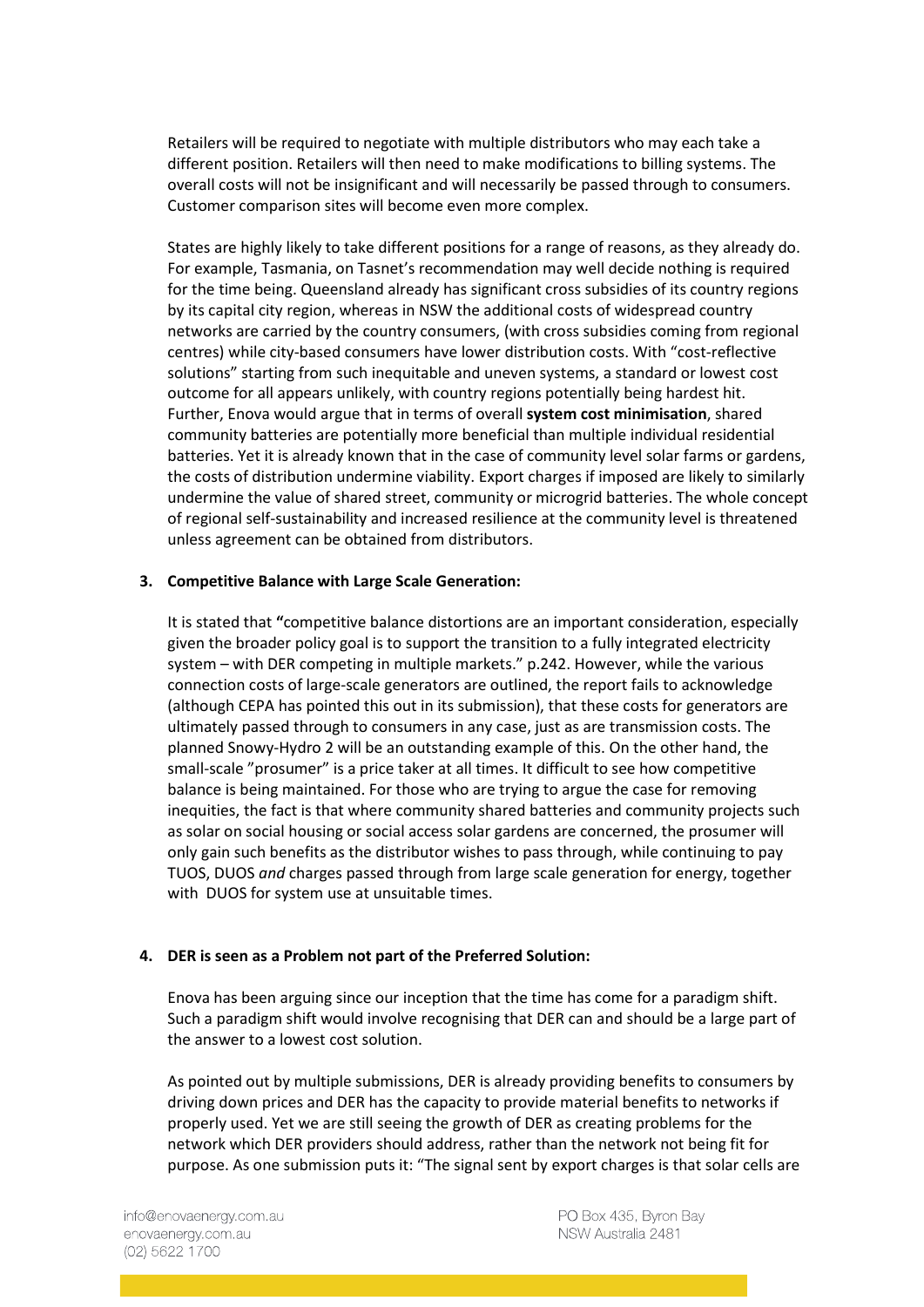Retailers will be required to negotiate with multiple distributors who may each take a different position. Retailers will then need to make modifications to billing systems. The overall costs will not be insignificant and will necessarily be passed through to consumers. Customer comparison sites will become even more complex.

States are highly likely to take different positions for a range of reasons, as they already do. For example, Tasmania, on Tasnet's recommendation may well decide nothing is required for the time being. Queensland already has significant cross subsidies of its country regions by its capital city region, whereas in NSW the additional costs of widespread country networks are carried by the country consumers, (with cross subsidies coming from regional centres) while city-based consumers have lower distribution costs. With "cost-reflective solutions" starting from such inequitable and uneven systems, a standard or lowest cost outcome for all appears unlikely, with country regions potentially being hardest hit. Further, Enova would argue that in terms of overall system cost minimisation, shared community batteries are potentially more beneficial than multiple individual residential batteries. Yet it is already known that in the case of community level solar farms or gardens, the costs of distribution undermine viability. Export charges if imposed are likely to similarly undermine the value of shared street, community or microgrid batteries. The whole concept of regional self-sustainability and increased resilience at the community level is threatened unless agreement can be obtained from distributors.

# 3. Competitive Balance with Large Scale Generation:

It is stated that "competitive balance distortions are an important consideration, especially given the broader policy goal is to support the transition to a fully integrated electricity system – with DER competing in multiple markets." p.242. However, while the various connection costs of large-scale generators are outlined, the report fails to acknowledge (although CEPA has pointed this out in its submission), that these costs for generators are ultimately passed through to consumers in any case, just as are transmission costs. The planned Snowy-Hydro 2 will be an outstanding example of this. On the other hand, the small-scale "prosumer" is a price taker at all times. It difficult to see how competitive balance is being maintained. For those who are trying to argue the case for removing inequities, the fact is that where community shared batteries and community projects such as solar on social housing or social access solar gardens are concerned, the prosumer will only gain such benefits as the distributor wishes to pass through, while continuing to pay TUOS, DUOS and charges passed through from large scale generation for energy, together with DUOS for system use at unsuitable times.

### 4. DER is seen as a Problem not part of the Preferred Solution:

Enova has been arguing since our inception that the time has come for a paradigm shift. Such a paradigm shift would involve recognising that DER can and should be a large part of the answer to a lowest cost solution.

As pointed out by multiple submissions, DER is already providing benefits to consumers by driving down prices and DER has the capacity to provide material benefits to networks if properly used. Yet we are still seeing the growth of DER as creating problems for the network which DER providers should address, rather than the network not being fit for purpose. As one submission puts it: "The signal sent by export charges is that solar cells are